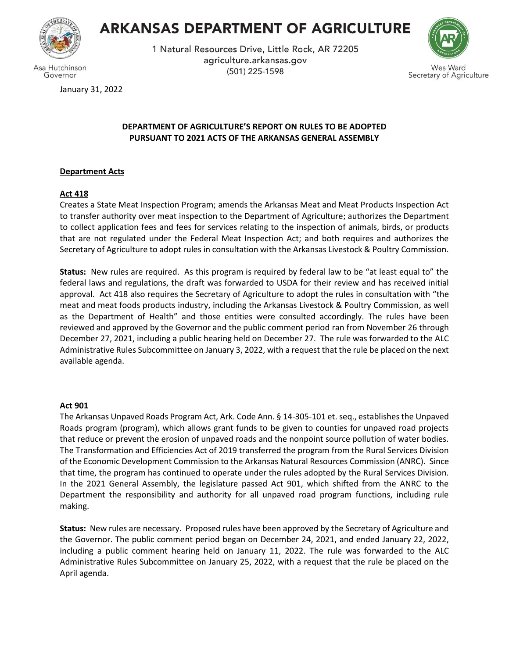

Governor

# **ARKANSAS DEPARTMENT OF AGRICULTURE**

1 Natural Resources Drive, Little Rock, AR 72205 agriculture.arkansas.gov (501) 225-1598



es Ward Secretary of Agriculture

January 31, 2022

# **DEPARTMENT OF AGRICULTURE'S REPORT ON RULES TO BE ADOPTED PURSUANT TO 2021 ACTS OF THE ARKANSAS GENERAL ASSEMBLY**

# **Department Acts**

# **Act 418**

Creates a State Meat Inspection Program; amends the Arkansas Meat and Meat Products Inspection Act to transfer authority over meat inspection to the Department of Agriculture; authorizes the Department to collect application fees and fees for services relating to the inspection of animals, birds, or products that are not regulated under the Federal Meat Inspection Act; and both requires and authorizes the Secretary of Agriculture to adopt rules in consultation with the Arkansas Livestock & Poultry Commission.

**Status:** New rules are required. As this program is required by federal law to be "at least equal to" the federal laws and regulations, the draft was forwarded to USDA for their review and has received initial approval. Act 418 also requires the Secretary of Agriculture to adopt the rules in consultation with "the meat and meat foods products industry, including the Arkansas Livestock & Poultry Commission, as well as the Department of Health" and those entities were consulted accordingly. The rules have been reviewed and approved by the Governor and the public comment period ran from November 26 through December 27, 2021, including a public hearing held on December 27. The rule was forwarded to the ALC Administrative Rules Subcommittee on January 3, 2022, with a request that the rule be placed on the next available agenda.

# **Act 901**

The Arkansas Unpaved Roads Program Act, Ark. Code Ann. § 14-305-101 et. seq., establishes the Unpaved Roads program (program), which allows grant funds to be given to counties for unpaved road projects that reduce or prevent the erosion of unpaved roads and the nonpoint source pollution of water bodies. The Transformation and Efficiencies Act of 2019 transferred the program from the Rural Services Division of the Economic Development Commission to the Arkansas Natural Resources Commission (ANRC). Since that time, the program has continued to operate under the rules adopted by the Rural Services Division. In the 2021 General Assembly, the legislature passed Act 901, which shifted from the ANRC to the Department the responsibility and authority for all unpaved road program functions, including rule making.

**Status:** New rules are necessary. Proposed rules have been approved by the Secretary of Agriculture and the Governor. The public comment period began on December 24, 2021, and ended January 22, 2022, including a public comment hearing held on January 11, 2022. The rule was forwarded to the ALC Administrative Rules Subcommittee on January 25, 2022, with a request that the rule be placed on the April agenda.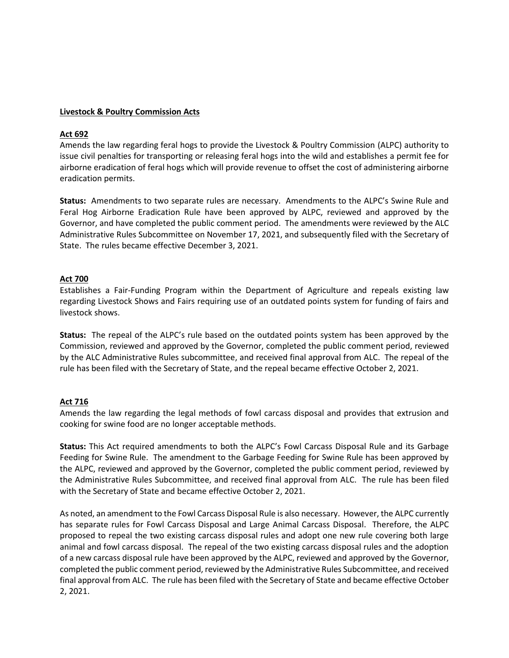# **Livestock & Poultry Commission Acts**

#### **Act 692**

Amends the law regarding feral hogs to provide the Livestock & Poultry Commission (ALPC) authority to issue civil penalties for transporting or releasing feral hogs into the wild and establishes a permit fee for airborne eradication of feral hogs which will provide revenue to offset the cost of administering airborne eradication permits.

**Status:** Amendments to two separate rules are necessary. Amendments to the ALPC's Swine Rule and Feral Hog Airborne Eradication Rule have been approved by ALPC, reviewed and approved by the Governor, and have completed the public comment period. The amendments were reviewed by the ALC Administrative Rules Subcommittee on November 17, 2021, and subsequently filed with the Secretary of State. The rules became effective December 3, 2021.

#### **Act 700**

Establishes a Fair-Funding Program within the Department of Agriculture and repeals existing law regarding Livestock Shows and Fairs requiring use of an outdated points system for funding of fairs and livestock shows.

**Status:** The repeal of the ALPC's rule based on the outdated points system has been approved by the Commission, reviewed and approved by the Governor, completed the public comment period, reviewed by the ALC Administrative Rules subcommittee, and received final approval from ALC. The repeal of the rule has been filed with the Secretary of State, and the repeal became effective October 2, 2021.

# **Act 716**

Amends the law regarding the legal methods of fowl carcass disposal and provides that extrusion and cooking for swine food are no longer acceptable methods.

**Status:** This Act required amendments to both the ALPC's Fowl Carcass Disposal Rule and its Garbage Feeding for Swine Rule. The amendment to the Garbage Feeding for Swine Rule has been approved by the ALPC, reviewed and approved by the Governor, completed the public comment period, reviewed by the Administrative Rules Subcommittee, and received final approval from ALC. The rule has been filed with the Secretary of State and became effective October 2, 2021.

As noted, an amendment to the Fowl Carcass Disposal Rule is also necessary. However, the ALPC currently has separate rules for Fowl Carcass Disposal and Large Animal Carcass Disposal. Therefore, the ALPC proposed to repeal the two existing carcass disposal rules and adopt one new rule covering both large animal and fowl carcass disposal. The repeal of the two existing carcass disposal rules and the adoption of a new carcass disposal rule have been approved by the ALPC, reviewed and approved by the Governor, completed the public comment period, reviewed by the Administrative Rules Subcommittee, and received final approval from ALC. The rule has been filed with the Secretary of State and became effective October 2, 2021.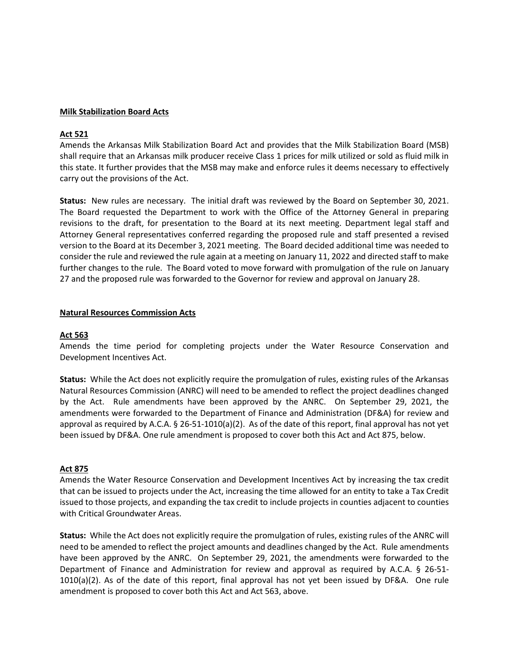#### **Milk Stabilization Board Acts**

#### **Act 521**

Amends the Arkansas Milk Stabilization Board Act and provides that the Milk Stabilization Board (MSB) shall require that an Arkansas milk producer receive Class 1 prices for milk utilized or sold as fluid milk in this state. It further provides that the MSB may make and enforce rules it deems necessary to effectively carry out the provisions of the Act.

**Status:** New rules are necessary. The initial draft was reviewed by the Board on September 30, 2021. The Board requested the Department to work with the Office of the Attorney General in preparing revisions to the draft, for presentation to the Board at its next meeting. Department legal staff and Attorney General representatives conferred regarding the proposed rule and staff presented a revised version to the Board at its December 3, 2021 meeting. The Board decided additional time was needed to consider the rule and reviewed the rule again at a meeting on January 11, 2022 and directed staff to make further changes to the rule. The Board voted to move forward with promulgation of the rule on January 27 and the proposed rule was forwarded to the Governor for review and approval on January 28.

#### **Natural Resources Commission Acts**

#### **Act 563**

Amends the time period for completing projects under the Water Resource Conservation and Development Incentives Act.

**Status:** While the Act does not explicitly require the promulgation of rules, existing rules of the Arkansas Natural Resources Commission (ANRC) will need to be amended to reflect the project deadlines changed by the Act. Rule amendments have been approved by the ANRC. On September 29, 2021, the amendments were forwarded to the Department of Finance and Administration (DF&A) for review and approval as required by A.C.A. § 26-51-1010(a)(2). As of the date of this report, final approval has not yet been issued by DF&A. One rule amendment is proposed to cover both this Act and Act 875, below.

# **Act 875**

Amends the Water Resource Conservation and Development Incentives Act by increasing the tax credit that can be issued to projects under the Act, increasing the time allowed for an entity to take a Tax Credit issued to those projects, and expanding the tax credit to include projects in counties adjacent to counties with Critical Groundwater Areas.

**Status:** While the Act does not explicitly require the promulgation of rules, existing rules of the ANRC will need to be amended to reflect the project amounts and deadlines changed by the Act. Rule amendments have been approved by the ANRC. On September 29, 2021, the amendments were forwarded to the Department of Finance and Administration for review and approval as required by A.C.A. § 26-51- 1010(a)(2). As of the date of this report, final approval has not yet been issued by DF&A. One rule amendment is proposed to cover both this Act and Act 563, above.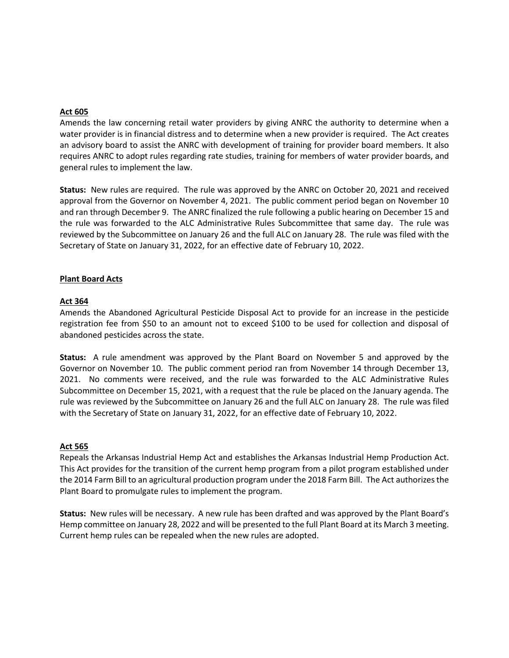## **Act 605**

Amends the law concerning retail water providers by giving ANRC the authority to determine when a water provider is in financial distress and to determine when a new provider is required. The Act creates an advisory board to assist the ANRC with development of training for provider board members. It also requires ANRC to adopt rules regarding rate studies, training for members of water provider boards, and general rules to implement the law.

**Status:** New rules are required. The rule was approved by the ANRC on October 20, 2021 and received approval from the Governor on November 4, 2021. The public comment period began on November 10 and ran through December 9. The ANRC finalized the rule following a public hearing on December 15 and the rule was forwarded to the ALC Administrative Rules Subcommittee that same day. The rule was reviewed by the Subcommittee on January 26 and the full ALC on January 28. The rule was filed with the Secretary of State on January 31, 2022, for an effective date of February 10, 2022.

#### **Plant Board Acts**

#### **Act 364**

Amends the Abandoned Agricultural Pesticide Disposal Act to provide for an increase in the pesticide registration fee from \$50 to an amount not to exceed \$100 to be used for collection and disposal of abandoned pesticides across the state.

**Status:** A rule amendment was approved by the Plant Board on November 5 and approved by the Governor on November 10. The public comment period ran from November 14 through December 13, 2021. No comments were received, and the rule was forwarded to the ALC Administrative Rules Subcommittee on December 15, 2021, with a request that the rule be placed on the January agenda. The rule was reviewed by the Subcommittee on January 26 and the full ALC on January 28. The rule was filed with the Secretary of State on January 31, 2022, for an effective date of February 10, 2022.

#### **Act 565**

Repeals the Arkansas Industrial Hemp Act and establishes the Arkansas Industrial Hemp Production Act. This Act provides for the transition of the current hemp program from a pilot program established under the 2014 Farm Bill to an agricultural production program under the 2018 Farm Bill. The Act authorizes the Plant Board to promulgate rules to implement the program.

**Status:** New rules will be necessary. A new rule has been drafted and was approved by the Plant Board's Hemp committee on January 28, 2022 and will be presented to the full Plant Board at its March 3 meeting. Current hemp rules can be repealed when the new rules are adopted.